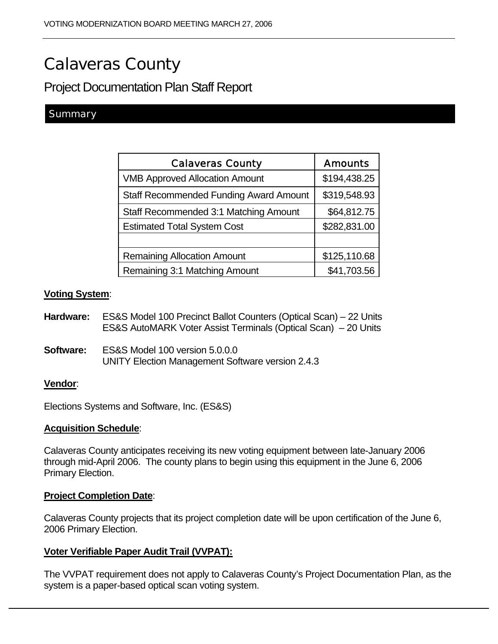# Calaveras County

Project Documentation Plan Staff Report

### **Summary**

| <b>Calaveras County</b>                       | <b>Amounts</b> |
|-----------------------------------------------|----------------|
| <b>VMB Approved Allocation Amount</b>         | \$194,438.25   |
| <b>Staff Recommended Funding Award Amount</b> | \$319,548.93   |
| Staff Recommended 3:1 Matching Amount         | \$64,812.75    |
| <b>Estimated Total System Cost</b>            | \$282,831.00   |
|                                               |                |
| <b>Remaining Allocation Amount</b>            | \$125,110.68   |
| Remaining 3:1 Matching Amount                 | \$41,703.56    |

#### **Voting System**:

- **Hardware:** ES&S Model 100 Precinct Ballot Counters (Optical Scan) 22 Units ES&S AutoMARK Voter Assist Terminals (Optical Scan) – 20 Units
- **Software:** ES&S Model 100 version 5.0.0.0 UNITY Election Management Software version 2.4.3

#### **Vendor**:

Elections Systems and Software, Inc. (ES&S)

#### **Acquisition Schedule**:

Calaveras County anticipates receiving its new voting equipment between late-January 2006 through mid-April 2006. The county plans to begin using this equipment in the June 6, 2006 Primary Election.

#### **Project Completion Date**:

Calaveras County projects that its project completion date will be upon certification of the June 6, 2006 Primary Election.

#### **Voter Verifiable Paper Audit Trail (VVPAT):**

The VVPAT requirement does not apply to Calaveras County's Project Documentation Plan, as the system is a paper-based optical scan voting system.